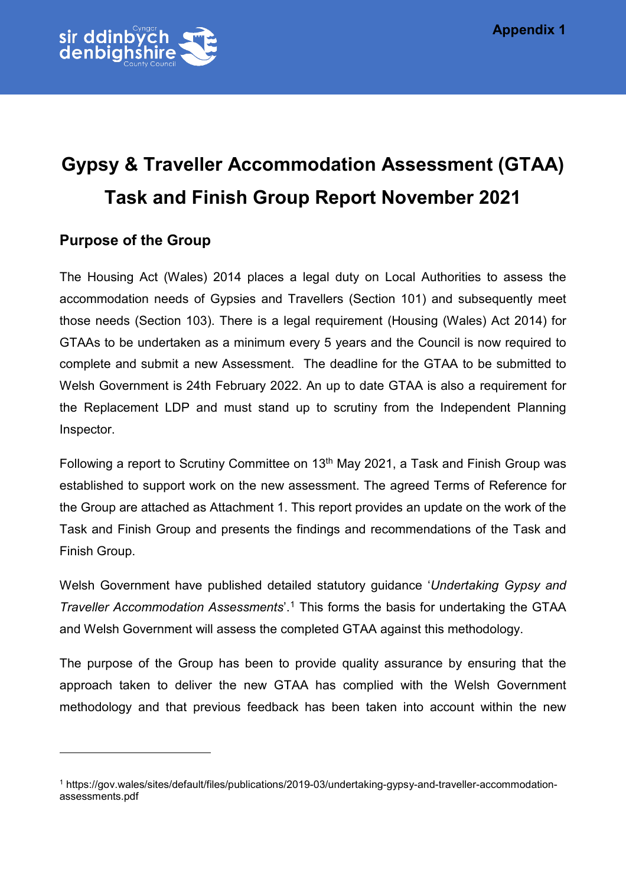

### **Purpose of the Group**

 $\overline{a}$ 

The Housing Act (Wales) 2014 places a legal duty on Local Authorities to assess the accommodation needs of Gypsies and Travellers (Section 101) and subsequently meet those needs (Section 103). There is a legal requirement (Housing (Wales) Act 2014) for GTAAs to be undertaken as a minimum every 5 years and the Council is now required to complete and submit a new Assessment. The deadline for the GTAA to be submitted to Welsh Government is 24th February 2022. An up to date GTAA is also a requirement for the Replacement LDP and must stand up to scrutiny from the Independent Planning Inspector.

Following a report to Scrutiny Committee on 13<sup>th</sup> May 2021, a Task and Finish Group was established to support work on the new assessment. The agreed Terms of Reference for the Group are attached as Attachment 1. This report provides an update on the work of the Task and Finish Group and presents the findings and recommendations of the Task and Finish Group.

Welsh Government have published detailed statutory guidance '*Undertaking Gypsy and Traveller Accommodation Assessments*'.[1](#page-0-0) This forms the basis for undertaking the GTAA and Welsh Government will assess the completed GTAA against this methodology.

The purpose of the Group has been to provide quality assurance by ensuring that the approach taken to deliver the new GTAA has complied with the Welsh Government methodology and that previous feedback has been taken into account within the new

<span id="page-0-0"></span><sup>1</sup> https://gov.wales/sites/default/files/publications/2019-03/undertaking-gypsy-and-traveller-accommodationassessments.pdf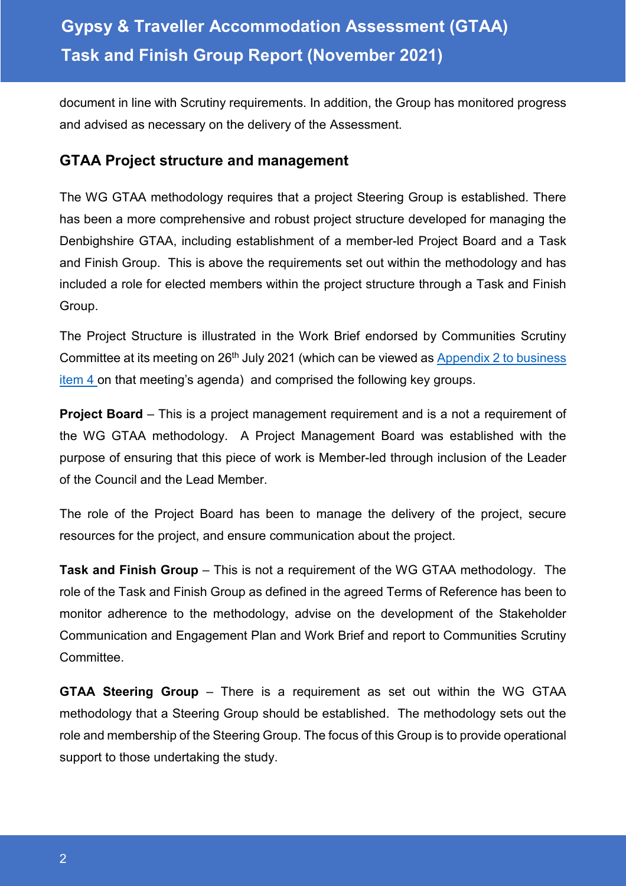document in line with Scrutiny requirements. In addition, the Group has monitored progress and advised as necessary on the delivery of the Assessment.

### **GTAA Project structure and management**

The WG GTAA methodology requires that a project Steering Group is established. There has been a more comprehensive and robust project structure developed for managing the Denbighshire GTAA, including establishment of a member-led Project Board and a Task and Finish Group. This is above the requirements set out within the methodology and has included a role for elected members within the project structure through a Task and Finish Group.

The Project Structure is illustrated in the Work Brief endorsed by Communities Scrutiny Committee at its meeting on 26<sup>th</sup> July 2021 (which can be viewed as Appendix 2 to business [item 4 o](https://moderngov.denbighshire.gov.uk/ieListDocuments.aspx?CId=271&MId=6424&LLL=0)n that meeting's agenda) and comprised the following key groups.

**Project Board** – This is a project management requirement and is a not a requirement of the WG GTAA methodology. A Project Management Board was established with the purpose of ensuring that this piece of work is Member-led through inclusion of the Leader of the Council and the Lead Member.

The role of the Project Board has been to manage the delivery of the project, secure resources for the project, and ensure communication about the project.

**Task and Finish Group** – This is not a requirement of the WG GTAA methodology. The role of the Task and Finish Group as defined in the agreed Terms of Reference has been to monitor adherence to the methodology, advise on the development of the Stakeholder Communication and Engagement Plan and Work Brief and report to Communities Scrutiny Committee.

**GTAA Steering Group** – There is a requirement as set out within the WG GTAA methodology that a Steering Group should be established. The methodology sets out the role and membership of the Steering Group. The focus of this Group is to provide operational support to those undertaking the study.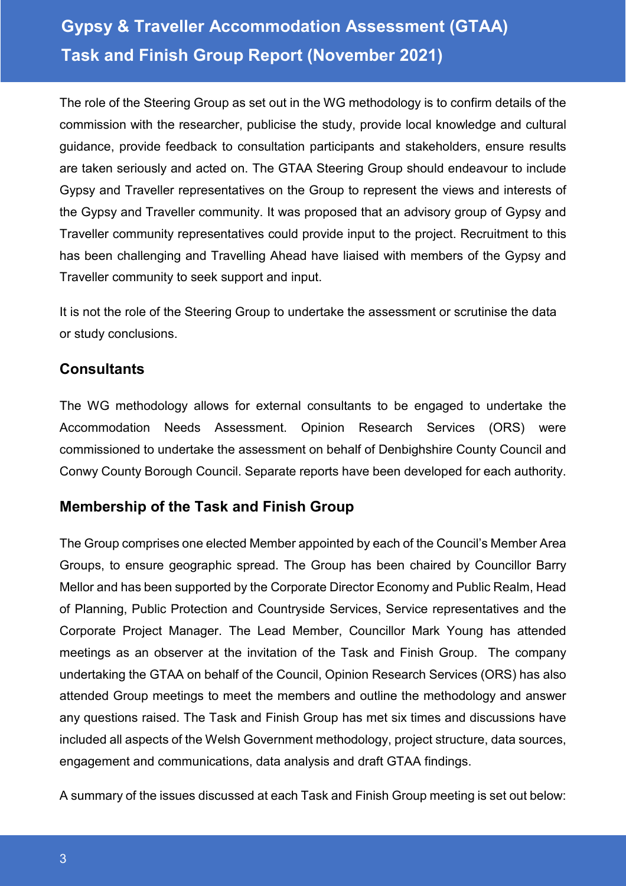The role of the Steering Group as set out in the WG methodology is to confirm details of the commission with the researcher, publicise the study, provide local knowledge and cultural guidance, provide feedback to consultation participants and stakeholders, ensure results are taken seriously and acted on. The GTAA Steering Group should endeavour to include Gypsy and Traveller representatives on the Group to represent the views and interests of the Gypsy and Traveller community. It was proposed that an advisory group of Gypsy and Traveller community representatives could provide input to the project. Recruitment to this has been challenging and Travelling Ahead have liaised with members of the Gypsy and Traveller community to seek support and input.

It is not the role of the Steering Group to undertake the assessment or scrutinise the data or study conclusions.

### **Consultants**

The WG methodology allows for external consultants to be engaged to undertake the Accommodation Needs Assessment. Opinion Research Services (ORS) were commissioned to undertake the assessment on behalf of Denbighshire County Council and Conwy County Borough Council. Separate reports have been developed for each authority.

## **Membership of the Task and Finish Group**

The Group comprises one elected Member appointed by each of the Council's Member Area Groups, to ensure geographic spread. The Group has been chaired by Councillor Barry Mellor and has been supported by the Corporate Director Economy and Public Realm, Head of Planning, Public Protection and Countryside Services, Service representatives and the Corporate Project Manager. The Lead Member, Councillor Mark Young has attended meetings as an observer at the invitation of the Task and Finish Group. The company undertaking the GTAA on behalf of the Council, Opinion Research Services (ORS) has also attended Group meetings to meet the members and outline the methodology and answer any questions raised. The Task and Finish Group has met six times and discussions have included all aspects of the Welsh Government methodology, project structure, data sources, engagement and communications, data analysis and draft GTAA findings.

A summary of the issues discussed at each Task and Finish Group meeting is set out below: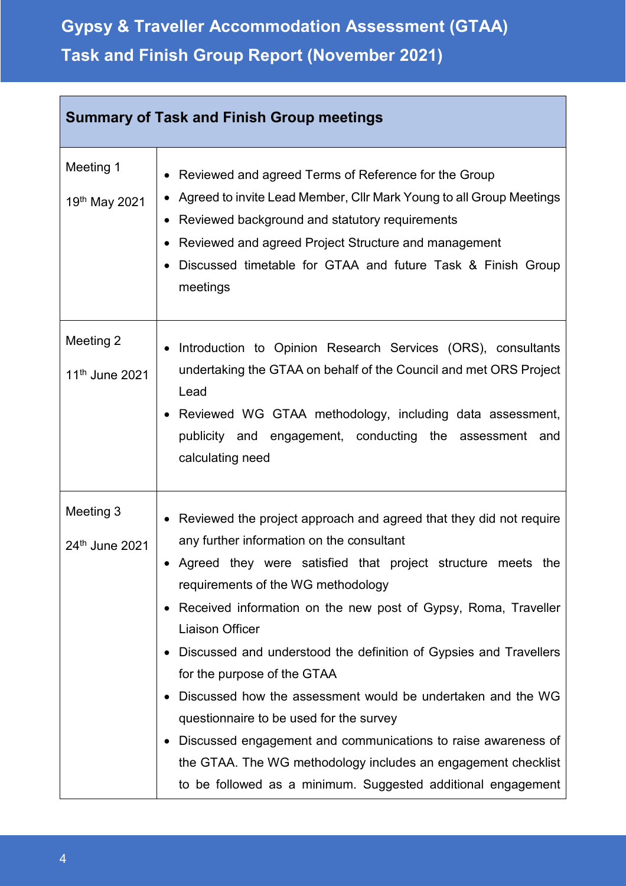| <b>Summary of Task and Finish Group meetings</b> |                                                                                                                                                                                                                                                                                                                                                                                                                                                                                                                                                                                                                                                                                                                                    |  |
|--------------------------------------------------|------------------------------------------------------------------------------------------------------------------------------------------------------------------------------------------------------------------------------------------------------------------------------------------------------------------------------------------------------------------------------------------------------------------------------------------------------------------------------------------------------------------------------------------------------------------------------------------------------------------------------------------------------------------------------------------------------------------------------------|--|
| Meeting 1<br>19th May 2021                       | Reviewed and agreed Terms of Reference for the Group<br>Agreed to invite Lead Member, Cllr Mark Young to all Group Meetings<br>Reviewed background and statutory requirements<br>Reviewed and agreed Project Structure and management<br>Discussed timetable for GTAA and future Task & Finish Group<br>meetings                                                                                                                                                                                                                                                                                                                                                                                                                   |  |
| Meeting 2<br>11 <sup>th</sup> June 2021          | Introduction to Opinion Research Services (ORS), consultants<br>undertaking the GTAA on behalf of the Council and met ORS Project<br>Lead<br>Reviewed WG GTAA methodology, including data assessment,<br>publicity and engagement, conducting the assessment and<br>calculating need                                                                                                                                                                                                                                                                                                                                                                                                                                               |  |
| Meeting 3<br>24th June 2021                      | Reviewed the project approach and agreed that they did not require<br>any further information on the consultant<br>Agreed they were satisfied that project structure meets the<br>requirements of the WG methodology<br>• Received information on the new post of Gypsy, Roma, Traveller<br><b>Liaison Officer</b><br>Discussed and understood the definition of Gypsies and Travellers<br>for the purpose of the GTAA<br>Discussed how the assessment would be undertaken and the WG<br>questionnaire to be used for the survey<br>Discussed engagement and communications to raise awareness of<br>the GTAA. The WG methodology includes an engagement checklist<br>to be followed as a minimum. Suggested additional engagement |  |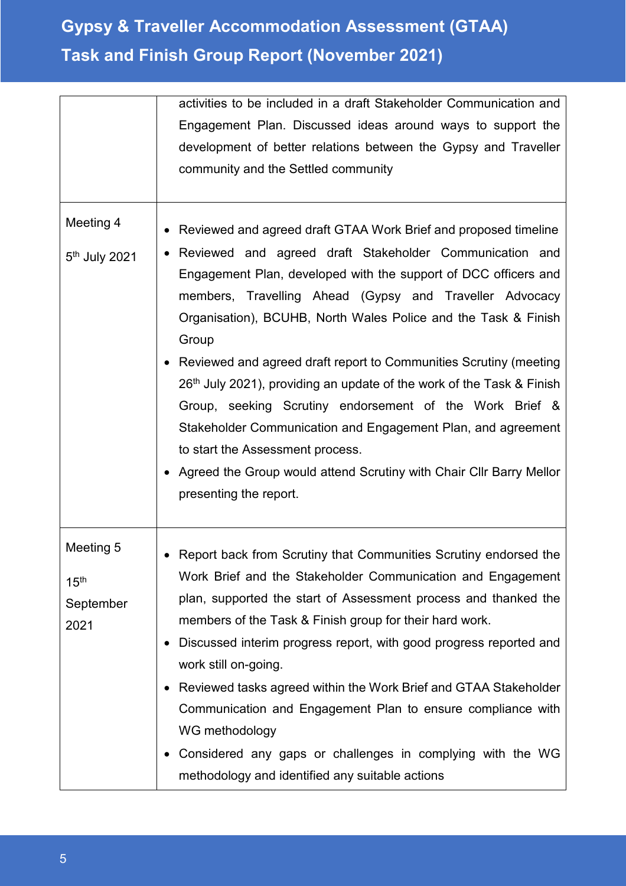|                                                    | activities to be included in a draft Stakeholder Communication and                                                                                                                                                                                                                                                                                                                                                                                                                                                                                                                                                                                                                                                                                                |
|----------------------------------------------------|-------------------------------------------------------------------------------------------------------------------------------------------------------------------------------------------------------------------------------------------------------------------------------------------------------------------------------------------------------------------------------------------------------------------------------------------------------------------------------------------------------------------------------------------------------------------------------------------------------------------------------------------------------------------------------------------------------------------------------------------------------------------|
|                                                    | Engagement Plan. Discussed ideas around ways to support the                                                                                                                                                                                                                                                                                                                                                                                                                                                                                                                                                                                                                                                                                                       |
|                                                    | development of better relations between the Gypsy and Traveller                                                                                                                                                                                                                                                                                                                                                                                                                                                                                                                                                                                                                                                                                                   |
|                                                    | community and the Settled community                                                                                                                                                                                                                                                                                                                                                                                                                                                                                                                                                                                                                                                                                                                               |
|                                                    |                                                                                                                                                                                                                                                                                                                                                                                                                                                                                                                                                                                                                                                                                                                                                                   |
| Meeting 4<br>5 <sup>th</sup> July 2021             | Reviewed and agreed draft GTAA Work Brief and proposed timeline<br>Reviewed and agreed draft Stakeholder Communication and<br>Engagement Plan, developed with the support of DCC officers and<br>members, Travelling Ahead (Gypsy and Traveller Advocacy<br>Organisation), BCUHB, North Wales Police and the Task & Finish<br>Group<br>• Reviewed and agreed draft report to Communities Scrutiny (meeting<br>26 <sup>th</sup> July 2021), providing an update of the work of the Task & Finish<br>Group, seeking Scrutiny endorsement of the Work Brief &<br>Stakeholder Communication and Engagement Plan, and agreement<br>to start the Assessment process.<br>• Agreed the Group would attend Scrutiny with Chair Cllr Barry Mellor<br>presenting the report. |
| Meeting 5<br>15 <sup>th</sup><br>September<br>2021 | Report back from Scrutiny that Communities Scrutiny endorsed the<br>Work Brief and the Stakeholder Communication and Engagement<br>plan, supported the start of Assessment process and thanked the<br>members of the Task & Finish group for their hard work.<br>Discussed interim progress report, with good progress reported and<br>work still on-going.<br>Reviewed tasks agreed within the Work Brief and GTAA Stakeholder<br>٠<br>Communication and Engagement Plan to ensure compliance with<br>WG methodology<br>Considered any gaps or challenges in complying with the WG<br>٠<br>methodology and identified any suitable actions                                                                                                                       |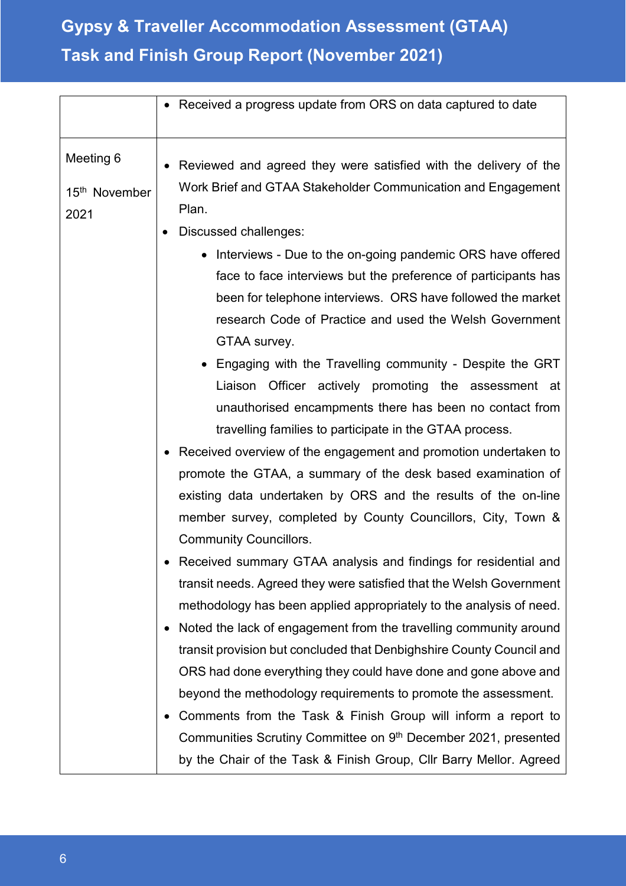|                                                | • Received a progress update from ORS on data captured to date                                                                                                                                                                                                                                                                                                                                                                                                                                                                                                                                                                                                                                                                                                                                                                                                                                                                                                                                                                                                                                                                                                                                                                                                                                                                                                                                                                                                                               |
|------------------------------------------------|----------------------------------------------------------------------------------------------------------------------------------------------------------------------------------------------------------------------------------------------------------------------------------------------------------------------------------------------------------------------------------------------------------------------------------------------------------------------------------------------------------------------------------------------------------------------------------------------------------------------------------------------------------------------------------------------------------------------------------------------------------------------------------------------------------------------------------------------------------------------------------------------------------------------------------------------------------------------------------------------------------------------------------------------------------------------------------------------------------------------------------------------------------------------------------------------------------------------------------------------------------------------------------------------------------------------------------------------------------------------------------------------------------------------------------------------------------------------------------------------|
| Meeting 6<br>15 <sup>th</sup> November<br>2021 | Reviewed and agreed they were satisfied with the delivery of the<br>Work Brief and GTAA Stakeholder Communication and Engagement<br>Plan.                                                                                                                                                                                                                                                                                                                                                                                                                                                                                                                                                                                                                                                                                                                                                                                                                                                                                                                                                                                                                                                                                                                                                                                                                                                                                                                                                    |
|                                                | Discussed challenges:<br>• Interviews - Due to the on-going pandemic ORS have offered<br>face to face interviews but the preference of participants has<br>been for telephone interviews. ORS have followed the market<br>research Code of Practice and used the Welsh Government<br>GTAA survey.<br>• Engaging with the Travelling community - Despite the GRT<br>Officer actively promoting the assessment at<br>Liaison<br>unauthorised encampments there has been no contact from<br>travelling families to participate in the GTAA process.<br>Received overview of the engagement and promotion undertaken to<br>promote the GTAA, a summary of the desk based examination of<br>existing data undertaken by ORS and the results of the on-line<br>member survey, completed by County Councillors, City, Town &<br><b>Community Councillors.</b><br>Received summary GTAA analysis and findings for residential and<br>transit needs. Agreed they were satisfied that the Welsh Government<br>methodology has been applied appropriately to the analysis of need.<br>Noted the lack of engagement from the travelling community around<br>transit provision but concluded that Denbighshire County Council and<br>ORS had done everything they could have done and gone above and<br>beyond the methodology requirements to promote the assessment.<br>Comments from the Task & Finish Group will inform a report to<br>Communities Scrutiny Committee on 9th December 2021, presented |
|                                                | by the Chair of the Task & Finish Group, Cllr Barry Mellor. Agreed                                                                                                                                                                                                                                                                                                                                                                                                                                                                                                                                                                                                                                                                                                                                                                                                                                                                                                                                                                                                                                                                                                                                                                                                                                                                                                                                                                                                                           |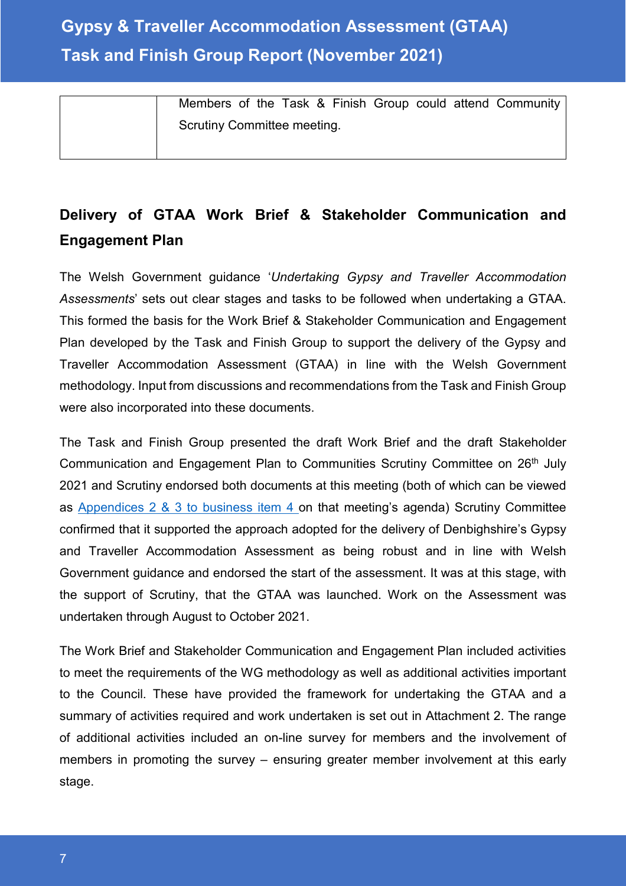Members of the Task & Finish Group could attend Community Scrutiny Committee meeting.

## **Delivery of GTAA Work Brief & Stakeholder Communication and Engagement Plan**

The Welsh Government guidance '*Undertaking Gypsy and Traveller Accommodation Assessments*' sets out clear stages and tasks to be followed when undertaking a GTAA. This formed the basis for the Work Brief & Stakeholder Communication and Engagement Plan developed by the Task and Finish Group to support the delivery of the Gypsy and Traveller Accommodation Assessment (GTAA) in line with the Welsh Government methodology. Input from discussions and recommendations from the Task and Finish Group were also incorporated into these documents.

The Task and Finish Group presented the draft Work Brief and the draft Stakeholder Communication and Engagement Plan to Communities Scrutiny Committee on 26<sup>th</sup> July 2021 and Scrutiny endorsed both documents at this meeting (both of which can be viewed as [Appendices 2 & 3 to business item 4 o](https://moderngov.denbighshire.gov.uk/ieListDocuments.aspx?CId=271&MId=6424&LLL=0)n that meeting's agenda) Scrutiny Committee confirmed that it supported the approach adopted for the delivery of Denbighshire's Gypsy and Traveller Accommodation Assessment as being robust and in line with Welsh Government guidance and endorsed the start of the assessment. It was at this stage, with the support of Scrutiny, that the GTAA was launched. Work on the Assessment was undertaken through August to October 2021.

The Work Brief and Stakeholder Communication and Engagement Plan included activities to meet the requirements of the WG methodology as well as additional activities important to the Council. These have provided the framework for undertaking the GTAA and a summary of activities required and work undertaken is set out in Attachment 2. The range of additional activities included an on-line survey for members and the involvement of members in promoting the survey – ensuring greater member involvement at this early stage.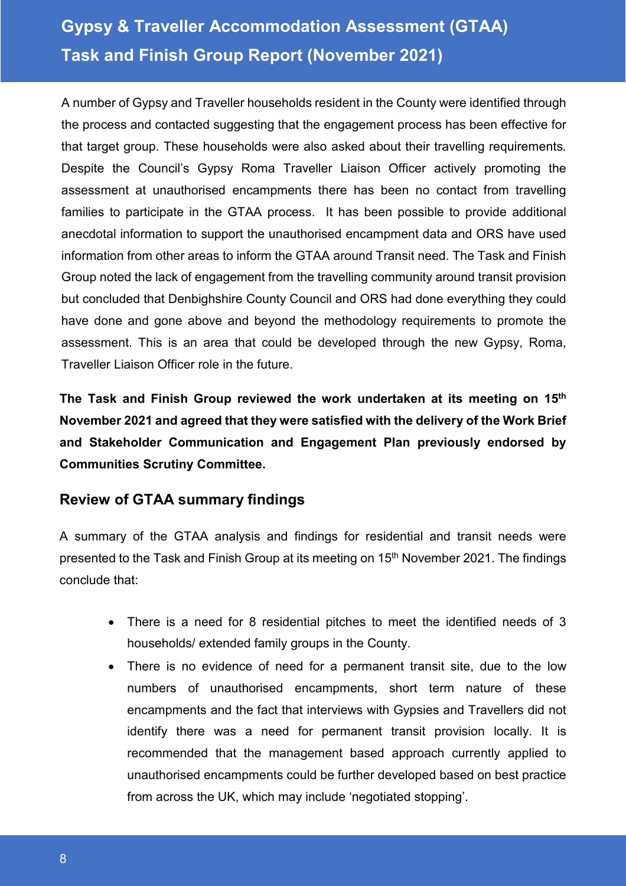A number of Gypsy and Traveller households resident in the County were identified through the process and contacted suggesting that the engagement process has been effective for that target group. These households were also asked about their travelling requirements. Despite the Council's Gypsy Roma Traveller Liaison Officer actively promoting the assessment at unauthorised encampments there has been no contact from travelling families to participate in the GTAA process. It has been possible to provide additional anecdotal information to support the unauthorised encampment data and ORS have used information from other areas to inform the GTAA around Transit need. The Task and Finish Group noted the lack of engagement from the travelling community around transit provision but concluded that Denbighshire County Council and ORS had done everything they could have done and gone above and beyond the methodology requirements to promote the assessment. This is an area that could be developed through the new Gypsy, Roma, Traveller Liaison Officer role in the future.

**The Task and Finish Group reviewed the work undertaken at its meeting on 15th November 2021 and agreed that they were satisfied with the delivery of the Work Brief and Stakeholder Communication and Engagement Plan previously endorsed by Communities Scrutiny Committee.**

## **Review of GTAA summary findings**

A summary of the GTAA analysis and findings for residential and transit needs were presented to the Task and Finish Group at its meeting on 15<sup>th</sup> November 2021. The findings conclude that:

- There is a need for 8 residential pitches to meet the identified needs of 3 households/ extended family groups in the County.
- There is no evidence of need for a permanent transit site, due to the low numbers of unauthorised encampments, short term nature of these encampments and the fact that interviews with Gypsies and Travellers did not identify there was a need for permanent transit provision locally. It is recommended that the management based approach currently applied to unauthorised encampments could be further developed based on best practice from across the UK, which may include 'negotiated stopping'.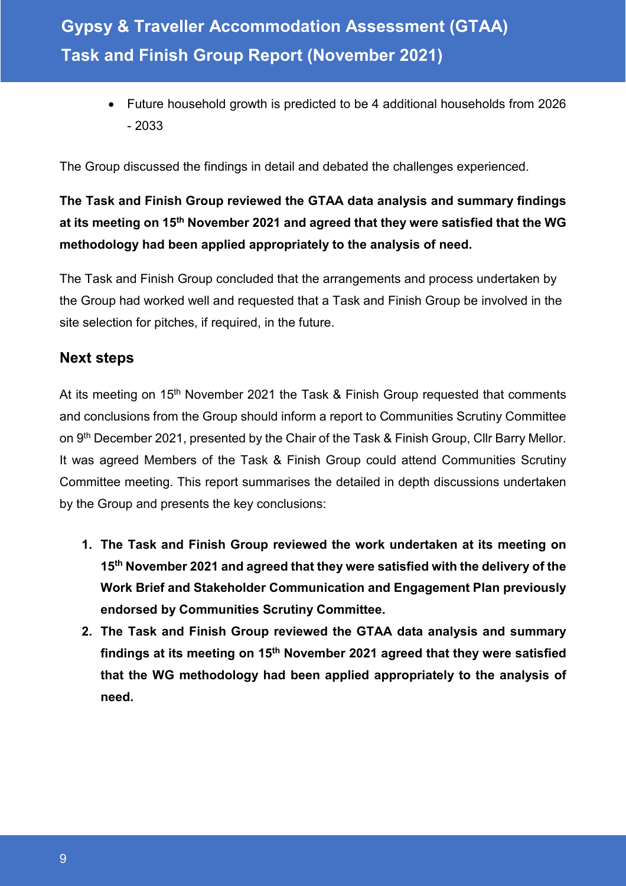• Future household growth is predicted to be 4 additional households from 2026 - 2033

The Group discussed the findings in detail and debated the challenges experienced.

## **The Task and Finish Group reviewed the GTAA data analysis and summary findings at its meeting on 15th November 2021 and agreed that they were satisfied that the WG methodology had been applied appropriately to the analysis of need.**

The Task and Finish Group concluded that the arrangements and process undertaken by the Group had worked well and requested that a Task and Finish Group be involved in the site selection for pitches, if required, in the future.

### **Next steps**

At its meeting on 15<sup>th</sup> November 2021 the Task & Finish Group requested that comments and conclusions from the Group should inform a report to Communities Scrutiny Committee on 9<sup>th</sup> December 2021, presented by the Chair of the Task & Finish Group, Cllr Barry Mellor. It was agreed Members of the Task & Finish Group could attend Communities Scrutiny Committee meeting. This report summarises the detailed in depth discussions undertaken by the Group and presents the key conclusions:

- **1. The Task and Finish Group reviewed the work undertaken at its meeting on 15th November 2021 and agreed that they were satisfied with the delivery of the Work Brief and Stakeholder Communication and Engagement Plan previously endorsed by Communities Scrutiny Committee.**
- **2. The Task and Finish Group reviewed the GTAA data analysis and summary findings at its meeting on 15th November 2021 agreed that they were satisfied that the WG methodology had been applied appropriately to the analysis of need.**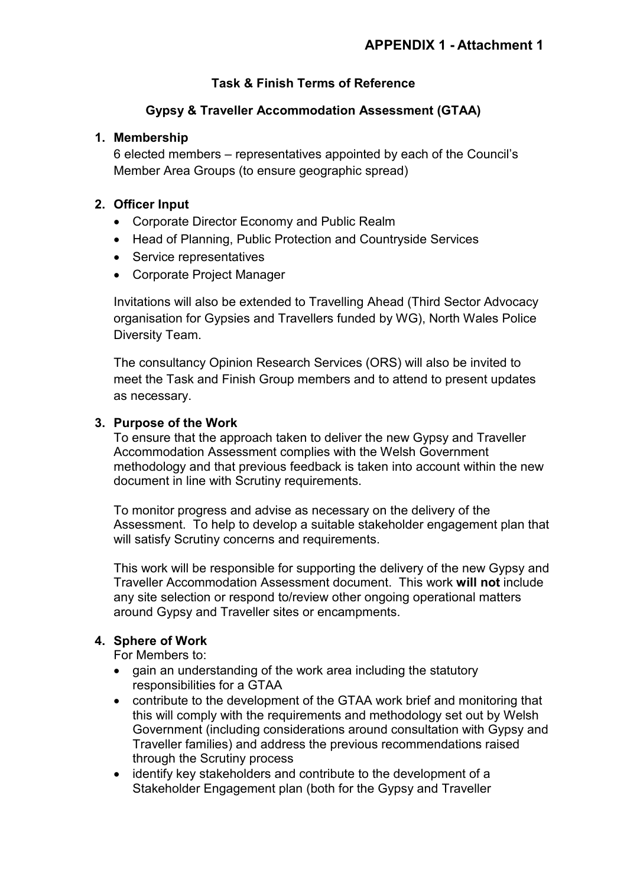### **Task & Finish Terms of Reference**

#### **Gypsy & Traveller Accommodation Assessment (GTAA)**

#### **1. Membership**

6 elected members – representatives appointed by each of the Council's Member Area Groups (to ensure geographic spread)

#### **2. Officer Input**

- Corporate Director Economy and Public Realm
- Head of Planning, Public Protection and Countryside Services
- Service representatives
- Corporate Project Manager

Invitations will also be extended to Travelling Ahead (Third Sector Advocacy organisation for Gypsies and Travellers funded by WG), North Wales Police Diversity Team.

The consultancy Opinion Research Services (ORS) will also be invited to meet the Task and Finish Group members and to attend to present updates as necessary.

#### **3. Purpose of the Work**

To ensure that the approach taken to deliver the new Gypsy and Traveller Accommodation Assessment complies with the Welsh Government methodology and that previous feedback is taken into account within the new document in line with Scrutiny requirements.

To monitor progress and advise as necessary on the delivery of the Assessment. To help to develop a suitable stakeholder engagement plan that will satisfy Scrutiny concerns and requirements.

This work will be responsible for supporting the delivery of the new Gypsy and Traveller Accommodation Assessment document. This work **will not** include any site selection or respond to/review other ongoing operational matters around Gypsy and Traveller sites or encampments.

#### **4. Sphere of Work**

For Members to:

- gain an understanding of the work area including the statutory responsibilities for a GTAA
- contribute to the development of the GTAA work brief and monitoring that this will comply with the requirements and methodology set out by Welsh Government (including considerations around consultation with Gypsy and Traveller families) and address the previous recommendations raised through the Scrutiny process
- identify key stakeholders and contribute to the development of a Stakeholder Engagement plan (both for the Gypsy and Traveller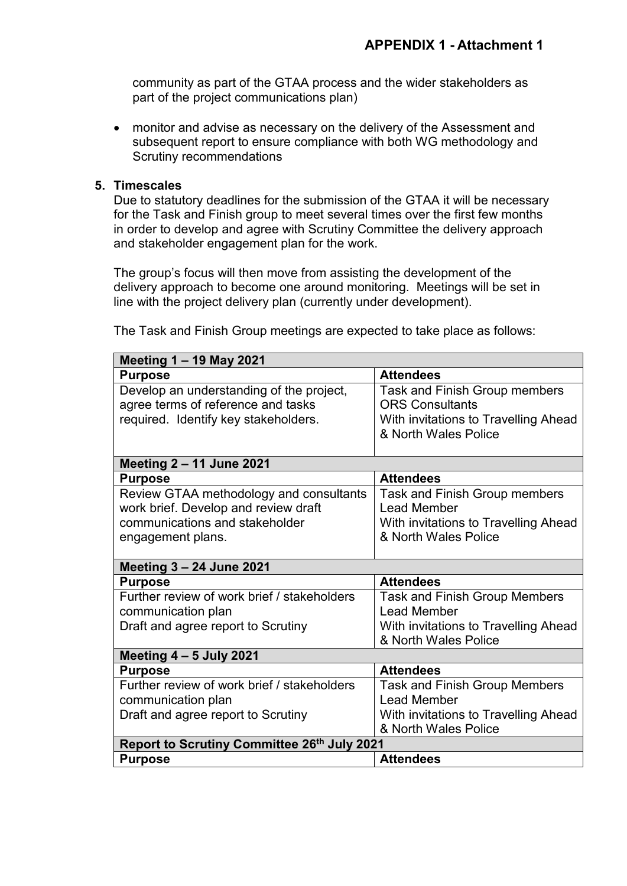community as part of the GTAA process and the wider stakeholders as part of the project communications plan)

• monitor and advise as necessary on the delivery of the Assessment and subsequent report to ensure compliance with both WG methodology and Scrutiny recommendations

#### **5. Timescales**

Due to statutory deadlines for the submission of the GTAA it will be necessary for the Task and Finish group to meet several times over the first few months in order to develop and agree with Scrutiny Committee the delivery approach and stakeholder engagement plan for the work.

The group's focus will then move from assisting the development of the delivery approach to become one around monitoring. Meetings will be set in line with the project delivery plan (currently under development).

| <b>Meeting 1-19 May 2021</b>                |                                      |  |
|---------------------------------------------|--------------------------------------|--|
| <b>Purpose</b>                              | <b>Attendees</b>                     |  |
| Develop an understanding of the project,    | <b>Task and Finish Group members</b> |  |
| agree terms of reference and tasks          | <b>ORS Consultants</b>               |  |
| required. Identify key stakeholders.        | With invitations to Travelling Ahead |  |
|                                             | & North Wales Police                 |  |
|                                             |                                      |  |
| <b>Meeting 2 - 11 June 2021</b>             |                                      |  |
| <b>Purpose</b>                              | <b>Attendees</b>                     |  |
| Review GTAA methodology and consultants     | Task and Finish Group members        |  |
| work brief. Develop and review draft        | Lead Member                          |  |
| communications and stakeholder              | With invitations to Travelling Ahead |  |
| engagement plans.                           | & North Wales Police                 |  |
|                                             |                                      |  |
| <b>Meeting 3 - 24 June 2021</b>             |                                      |  |
| <b>Purpose</b>                              | <b>Attendees</b>                     |  |
| Further review of work brief / stakeholders | <b>Task and Finish Group Members</b> |  |
| communication plan                          | Lead Member                          |  |
| Draft and agree report to Scrutiny          | With invitations to Travelling Ahead |  |
|                                             | & North Wales Police                 |  |
| Meeting $4 - 5$ July 2021                   |                                      |  |
| <b>Purpose</b>                              | <b>Attendees</b>                     |  |
| Further review of work brief / stakeholders | <b>Task and Finish Group Members</b> |  |
| communication plan                          | Lead Member                          |  |
| Draft and agree report to Scrutiny          | With invitations to Travelling Ahead |  |
|                                             | & North Wales Police                 |  |
| Report to Scrutiny Committee 26th July 2021 |                                      |  |
| <b>Purpose</b>                              | <b>Attendees</b>                     |  |

The Task and Finish Group meetings are expected to take place as follows: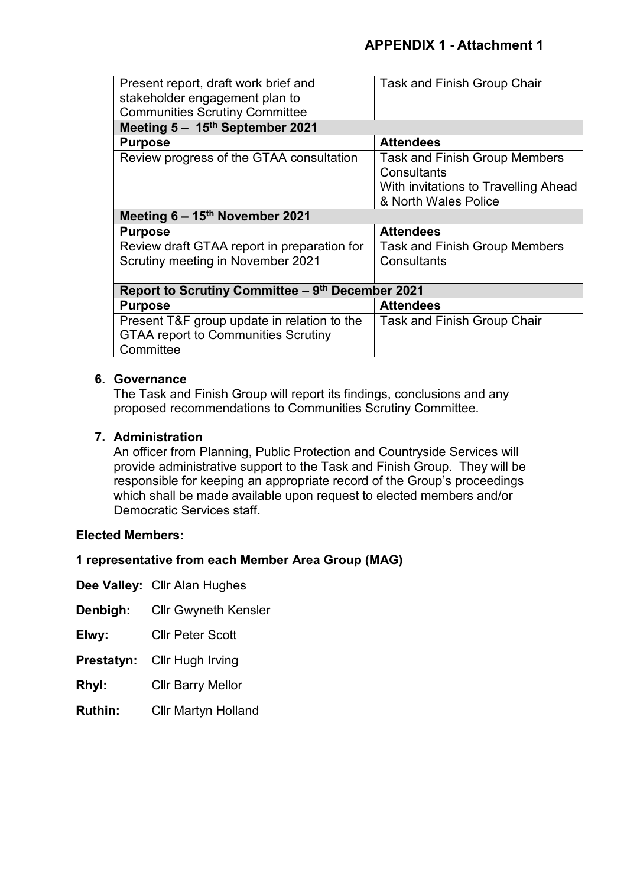| Present report, draft work brief and<br>stakeholder engagement plan to | <b>Task and Finish Group Chair</b>   |  |
|------------------------------------------------------------------------|--------------------------------------|--|
| <b>Communities Scrutiny Committee</b>                                  |                                      |  |
| Meeting $5 - 15$ <sup>th</sup> September 2021                          |                                      |  |
| <b>Purpose</b>                                                         | <b>Attendees</b>                     |  |
| Review progress of the GTAA consultation                               | <b>Task and Finish Group Members</b> |  |
|                                                                        | Consultants                          |  |
|                                                                        | With invitations to Travelling Ahead |  |
|                                                                        | & North Wales Police                 |  |
| Meeting $6 - 15$ <sup>th</sup> November 2021                           |                                      |  |
| <b>Purpose</b>                                                         | <b>Attendees</b>                     |  |
| Review draft GTAA report in preparation for                            | <b>Task and Finish Group Members</b> |  |
| Scrutiny meeting in November 2021                                      | Consultants                          |  |
|                                                                        |                                      |  |
| Report to Scrutiny Committee – 9th December 2021                       |                                      |  |
| <b>Purpose</b>                                                         | <b>Attendees</b>                     |  |
| Present T&F group update in relation to the                            | <b>Task and Finish Group Chair</b>   |  |
| <b>GTAA report to Communities Scrutiny</b>                             |                                      |  |
| Committee                                                              |                                      |  |

#### **6. Governance**

The Task and Finish Group will report its findings, conclusions and any proposed recommendations to Communities Scrutiny Committee.

#### **7. Administration**

An officer from Planning, Public Protection and Countryside Services will provide administrative support to the Task and Finish Group. They will be responsible for keeping an appropriate record of the Group's proceedings which shall be made available upon request to elected members and/or Democratic Services staff.

#### **Elected Members:**

#### **1 representative from each Member Area Group (MAG)**

**Dee Valley:** Cllr Alan Hughes

- **Denbigh:** Cllr Gwyneth Kensler
- **Elwy:** Cllr Peter Scott
- **Prestatyn:** Cllr Hugh Irving
- **Rhyl:** Cllr Barry Mellor
- **Ruthin:** Cllr Martyn Holland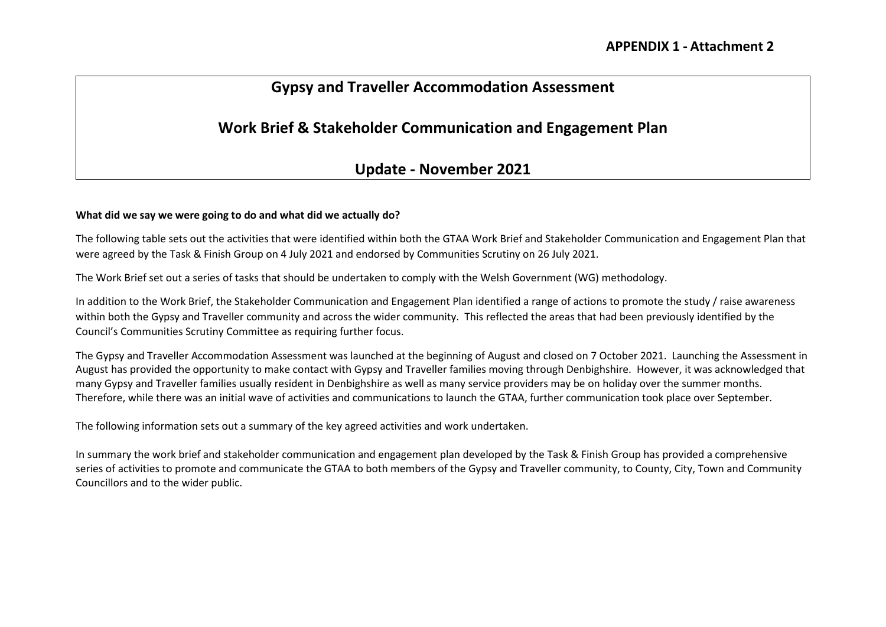## **Gypsy and Traveller Accommodation Assessment**

## **Work Brief & Stakeholder Communication and Engagement Plan**

### **Update - November 2021**

#### **What did we say we were going to do and what did we actually do?**

The following table sets out the activities that were identified within both the GTAA Work Brief and Stakeholder Communication and Engagement Plan that were agreed by the Task & Finish Group on 4 July 2021 and endorsed by Communities Scrutiny on 26 July 2021.

The Work Brief set out a series of tasks that should be undertaken to comply with the Welsh Government (WG) methodology.

In addition to the Work Brief, the Stakeholder Communication and Engagement Plan identified a range of actions to promote the study / raise awareness within both the Gypsy and Traveller community and across the wider community. This reflected the areas that had been previously identified by the Council's Communities Scrutiny Committee as requiring further focus.

The Gypsy and Traveller Accommodation Assessment was launched at the beginning of August and closed on 7 October 2021. Launching the Assessment in August has provided the opportunity to make contact with Gypsy and Traveller families moving through Denbighshire. However, it was acknowledged that many Gypsy and Traveller families usually resident in Denbighshire as well as many service providers may be on holiday over the summer months. Therefore, while there was an initial wave of activities and communications to launch the GTAA, further communication took place over September.

The following information sets out a summary of the key agreed activities and work undertaken.

In summary the work brief and stakeholder communication and engagement plan developed by the Task & Finish Group has provided a comprehensive series of activities to promote and communicate the GTAA to both members of the Gypsy and Traveller community, to County, City, Town and Community Councillors and to the wider public.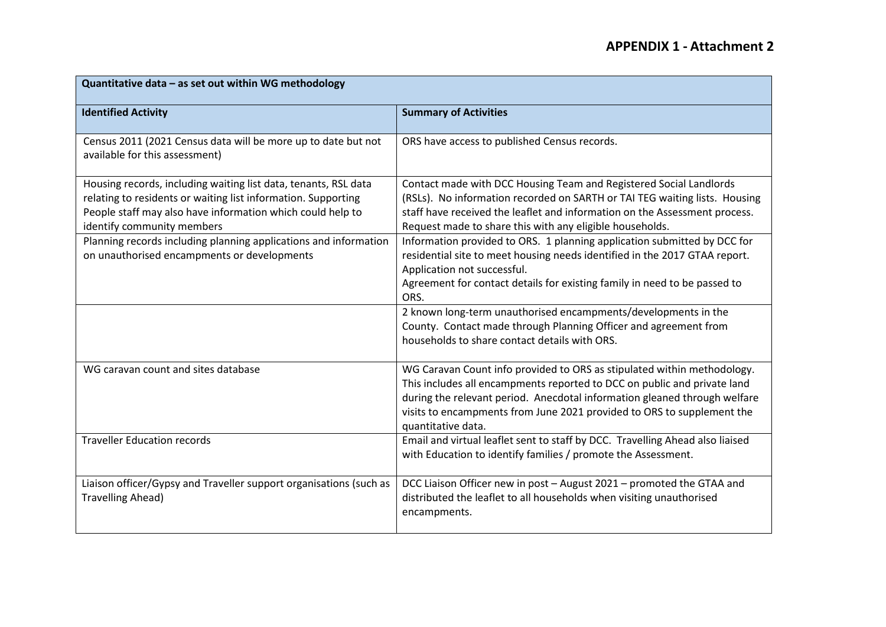| Quantitative data - as set out within WG methodology                                                                                                                                                                         |                                                                                                                                                                                                                                                                                                                                  |  |
|------------------------------------------------------------------------------------------------------------------------------------------------------------------------------------------------------------------------------|----------------------------------------------------------------------------------------------------------------------------------------------------------------------------------------------------------------------------------------------------------------------------------------------------------------------------------|--|
| <b>Identified Activity</b>                                                                                                                                                                                                   | <b>Summary of Activities</b>                                                                                                                                                                                                                                                                                                     |  |
| Census 2011 (2021 Census data will be more up to date but not<br>available for this assessment)                                                                                                                              | ORS have access to published Census records.                                                                                                                                                                                                                                                                                     |  |
| Housing records, including waiting list data, tenants, RSL data<br>relating to residents or waiting list information. Supporting<br>People staff may also have information which could help to<br>identify community members | Contact made with DCC Housing Team and Registered Social Landlords<br>(RSLs). No information recorded on SARTH or TAI TEG waiting lists. Housing<br>staff have received the leaflet and information on the Assessment process.<br>Request made to share this with any eligible households.                                       |  |
| Planning records including planning applications and information<br>on unauthorised encampments or developments                                                                                                              | Information provided to ORS. 1 planning application submitted by DCC for<br>residential site to meet housing needs identified in the 2017 GTAA report.<br>Application not successful.<br>Agreement for contact details for existing family in need to be passed to<br>ORS.                                                       |  |
|                                                                                                                                                                                                                              | 2 known long-term unauthorised encampments/developments in the<br>County. Contact made through Planning Officer and agreement from<br>households to share contact details with ORS.                                                                                                                                              |  |
| WG caravan count and sites database                                                                                                                                                                                          | WG Caravan Count info provided to ORS as stipulated within methodology.<br>This includes all encampments reported to DCC on public and private land<br>during the relevant period. Anecdotal information gleaned through welfare<br>visits to encampments from June 2021 provided to ORS to supplement the<br>quantitative data. |  |
| <b>Traveller Education records</b>                                                                                                                                                                                           | Email and virtual leaflet sent to staff by DCC. Travelling Ahead also liaised<br>with Education to identify families / promote the Assessment.                                                                                                                                                                                   |  |
| Liaison officer/Gypsy and Traveller support organisations (such as<br><b>Travelling Ahead)</b>                                                                                                                               | DCC Liaison Officer new in post - August 2021 - promoted the GTAA and<br>distributed the leaflet to all households when visiting unauthorised<br>encampments.                                                                                                                                                                    |  |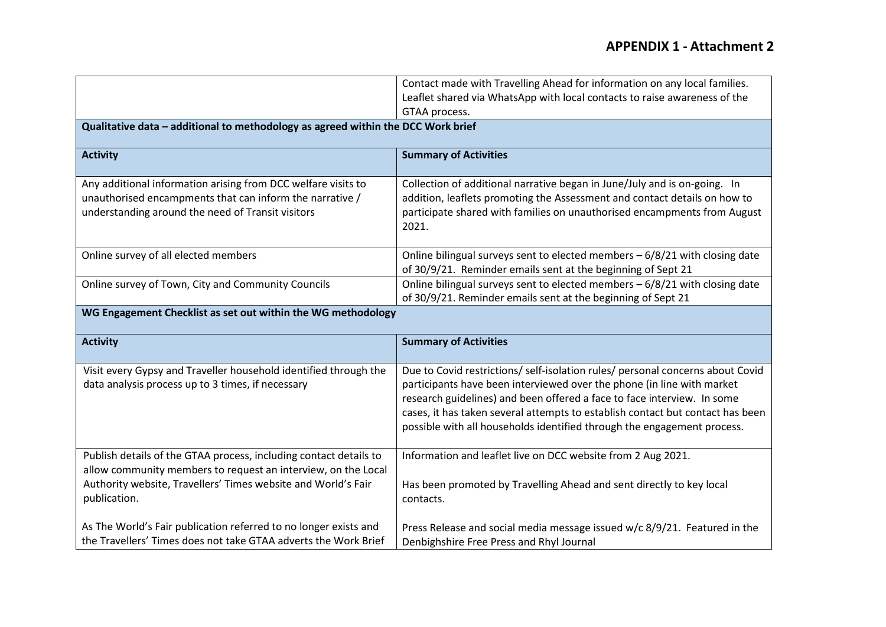### **APPENDIX 1 - Attachment 2**

|                                                                                  | Contact made with Travelling Ahead for information on any local families.      |  |
|----------------------------------------------------------------------------------|--------------------------------------------------------------------------------|--|
|                                                                                  | Leaflet shared via WhatsApp with local contacts to raise awareness of the      |  |
|                                                                                  | GTAA process.                                                                  |  |
| Qualitative data - additional to methodology as agreed within the DCC Work brief |                                                                                |  |
|                                                                                  |                                                                                |  |
| <b>Activity</b>                                                                  | <b>Summary of Activities</b>                                                   |  |
|                                                                                  |                                                                                |  |
| Any additional information arising from DCC welfare visits to                    | Collection of additional narrative began in June/July and is on-going. In      |  |
| unauthorised encampments that can inform the narrative /                         | addition, leaflets promoting the Assessment and contact details on how to      |  |
| understanding around the need of Transit visitors                                | participate shared with families on unauthorised encampments from August       |  |
|                                                                                  | 2021.                                                                          |  |
|                                                                                  |                                                                                |  |
| Online survey of all elected members                                             | Online bilingual surveys sent to elected members - 6/8/21 with closing date    |  |
|                                                                                  | of 30/9/21. Reminder emails sent at the beginning of Sept 21                   |  |
| Online survey of Town, City and Community Councils                               | Online bilingual surveys sent to elected members $-6/8/21$ with closing date   |  |
|                                                                                  | of 30/9/21. Reminder emails sent at the beginning of Sept 21                   |  |
| WG Engagement Checklist as set out within the WG methodology                     |                                                                                |  |
|                                                                                  |                                                                                |  |
| <b>Activity</b>                                                                  | <b>Summary of Activities</b>                                                   |  |
|                                                                                  |                                                                                |  |
| Visit every Gypsy and Traveller household identified through the                 | Due to Covid restrictions/ self-isolation rules/ personal concerns about Covid |  |
| data analysis process up to 3 times, if necessary                                | participants have been interviewed over the phone (in line with market         |  |
|                                                                                  | research guidelines) and been offered a face to face interview. In some        |  |
|                                                                                  | cases, it has taken several attempts to establish contact but contact has been |  |
|                                                                                  | possible with all households identified through the engagement process.        |  |
|                                                                                  |                                                                                |  |
| Publish details of the GTAA process, including contact details to                | Information and leaflet live on DCC website from 2 Aug 2021.                   |  |
| allow community members to request an interview, on the Local                    |                                                                                |  |
| Authority website, Travellers' Times website and World's Fair                    | Has been promoted by Travelling Ahead and sent directly to key local           |  |
| publication.                                                                     | contacts.                                                                      |  |
|                                                                                  |                                                                                |  |
| As The World's Fair publication referred to no longer exists and                 | Press Release and social media message issued w/c 8/9/21. Featured in the      |  |
| the Travellers' Times does not take GTAA adverts the Work Brief                  | Denbighshire Free Press and Rhyl Journal                                       |  |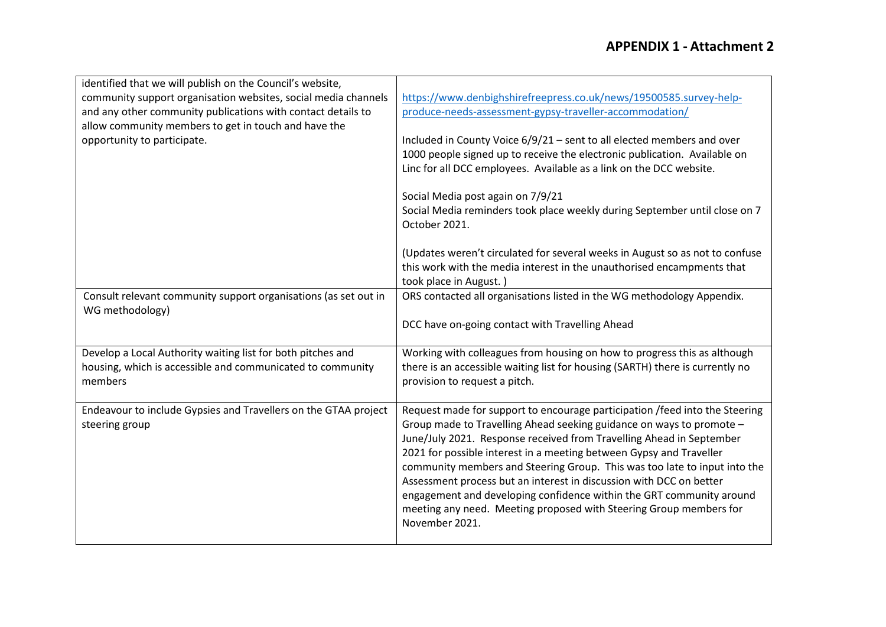| identified that we will publish on the Council's website,<br>community support organisation websites, social media channels<br>and any other community publications with contact details to<br>allow community members to get in touch and have the<br>opportunity to participate. | https://www.denbighshirefreepress.co.uk/news/19500585.survey-help-<br>produce-needs-assessment-gypsy-traveller-accommodation/<br>Included in County Voice 6/9/21 - sent to all elected members and over<br>1000 people signed up to receive the electronic publication. Available on<br>Linc for all DCC employees. Available as a link on the DCC website.<br>Social Media post again on 7/9/21<br>Social Media reminders took place weekly during September until close on 7<br>October 2021.<br>(Updates weren't circulated for several weeks in August so as not to confuse                                         |
|------------------------------------------------------------------------------------------------------------------------------------------------------------------------------------------------------------------------------------------------------------------------------------|-------------------------------------------------------------------------------------------------------------------------------------------------------------------------------------------------------------------------------------------------------------------------------------------------------------------------------------------------------------------------------------------------------------------------------------------------------------------------------------------------------------------------------------------------------------------------------------------------------------------------|
|                                                                                                                                                                                                                                                                                    | this work with the media interest in the unauthorised encampments that<br>took place in August.)                                                                                                                                                                                                                                                                                                                                                                                                                                                                                                                        |
| Consult relevant community support organisations (as set out in<br>WG methodology)                                                                                                                                                                                                 | ORS contacted all organisations listed in the WG methodology Appendix.<br>DCC have on-going contact with Travelling Ahead                                                                                                                                                                                                                                                                                                                                                                                                                                                                                               |
| Develop a Local Authority waiting list for both pitches and<br>housing, which is accessible and communicated to community<br>members                                                                                                                                               | Working with colleagues from housing on how to progress this as although<br>there is an accessible waiting list for housing (SARTH) there is currently no<br>provision to request a pitch.                                                                                                                                                                                                                                                                                                                                                                                                                              |
| Endeavour to include Gypsies and Travellers on the GTAA project<br>steering group                                                                                                                                                                                                  | Request made for support to encourage participation / feed into the Steering<br>Group made to Travelling Ahead seeking guidance on ways to promote -<br>June/July 2021. Response received from Travelling Ahead in September<br>2021 for possible interest in a meeting between Gypsy and Traveller<br>community members and Steering Group. This was too late to input into the<br>Assessment process but an interest in discussion with DCC on better<br>engagement and developing confidence within the GRT community around<br>meeting any need. Meeting proposed with Steering Group members for<br>November 2021. |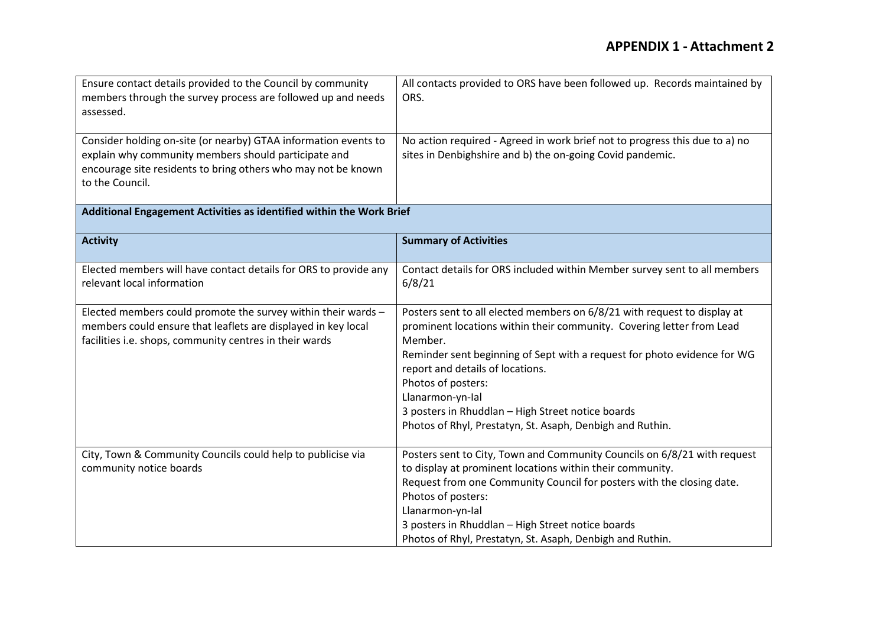| Ensure contact details provided to the Council by community<br>members through the survey process are followed up and needs<br>assessed.                                                                    | All contacts provided to ORS have been followed up. Records maintained by<br>ORS.                                                                                                                                                                                                                                                                                                                                                        |
|-------------------------------------------------------------------------------------------------------------------------------------------------------------------------------------------------------------|------------------------------------------------------------------------------------------------------------------------------------------------------------------------------------------------------------------------------------------------------------------------------------------------------------------------------------------------------------------------------------------------------------------------------------------|
| Consider holding on-site (or nearby) GTAA information events to<br>explain why community members should participate and<br>encourage site residents to bring others who may not be known<br>to the Council. | No action required - Agreed in work brief not to progress this due to a) no<br>sites in Denbighshire and b) the on-going Covid pandemic.                                                                                                                                                                                                                                                                                                 |
| Additional Engagement Activities as identified within the Work Brief                                                                                                                                        |                                                                                                                                                                                                                                                                                                                                                                                                                                          |
| <b>Activity</b>                                                                                                                                                                                             | <b>Summary of Activities</b>                                                                                                                                                                                                                                                                                                                                                                                                             |
| Elected members will have contact details for ORS to provide any<br>relevant local information                                                                                                              | Contact details for ORS included within Member survey sent to all members<br>6/8/21                                                                                                                                                                                                                                                                                                                                                      |
| Elected members could promote the survey within their wards -<br>members could ensure that leaflets are displayed in key local<br>facilities i.e. shops, community centres in their wards                   | Posters sent to all elected members on 6/8/21 with request to display at<br>prominent locations within their community. Covering letter from Lead<br>Member.<br>Reminder sent beginning of Sept with a request for photo evidence for WG<br>report and details of locations.<br>Photos of posters:<br>Llanarmon-yn-Ial<br>3 posters in Rhuddlan - High Street notice boards<br>Photos of Rhyl, Prestatyn, St. Asaph, Denbigh and Ruthin. |
| City, Town & Community Councils could help to publicise via<br>community notice boards                                                                                                                      | Posters sent to City, Town and Community Councils on 6/8/21 with request<br>to display at prominent locations within their community.<br>Request from one Community Council for posters with the closing date.<br>Photos of posters:<br>Llanarmon-yn-Ial<br>3 posters in Rhuddlan - High Street notice boards<br>Photos of Rhyl, Prestatyn, St. Asaph, Denbigh and Ruthin.                                                               |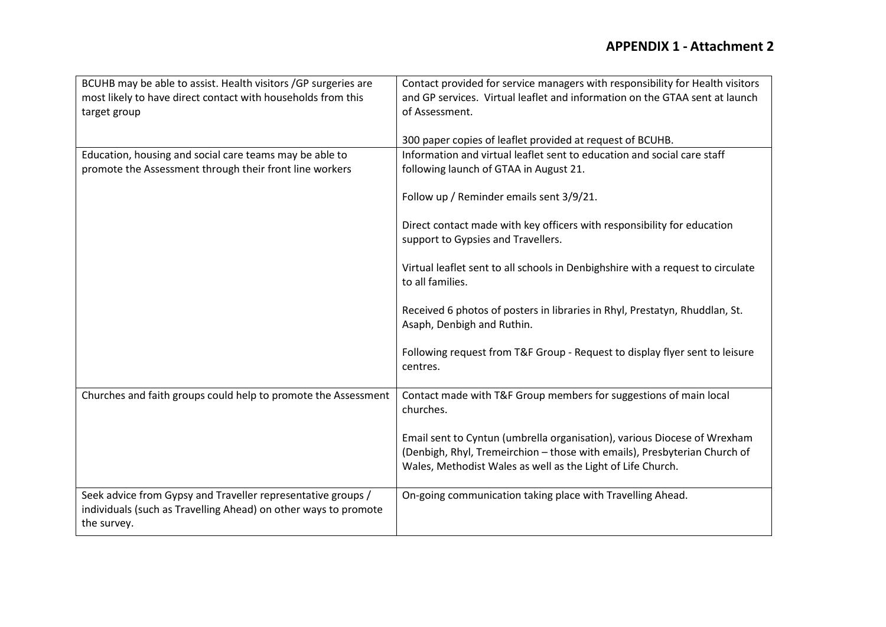| BCUHB may be able to assist. Health visitors / GP surgeries are | Contact provided for service managers with responsibility for Health visitors   |
|-----------------------------------------------------------------|---------------------------------------------------------------------------------|
| most likely to have direct contact with households from this    | and GP services. Virtual leaflet and information on the GTAA sent at launch     |
| target group                                                    | of Assessment.                                                                  |
|                                                                 |                                                                                 |
|                                                                 | 300 paper copies of leaflet provided at request of BCUHB.                       |
| Education, housing and social care teams may be able to         | Information and virtual leaflet sent to education and social care staff         |
| promote the Assessment through their front line workers         | following launch of GTAA in August 21.                                          |
|                                                                 |                                                                                 |
|                                                                 | Follow up / Reminder emails sent 3/9/21.                                        |
|                                                                 |                                                                                 |
|                                                                 | Direct contact made with key officers with responsibility for education         |
|                                                                 | support to Gypsies and Travellers.                                              |
|                                                                 |                                                                                 |
|                                                                 | Virtual leaflet sent to all schools in Denbighshire with a request to circulate |
|                                                                 | to all families.                                                                |
|                                                                 | Received 6 photos of posters in libraries in Rhyl, Prestatyn, Rhuddlan, St.     |
|                                                                 | Asaph, Denbigh and Ruthin.                                                      |
|                                                                 |                                                                                 |
|                                                                 | Following request from T&F Group - Request to display flyer sent to leisure     |
|                                                                 | centres.                                                                        |
|                                                                 |                                                                                 |
| Churches and faith groups could help to promote the Assessment  | Contact made with T&F Group members for suggestions of main local               |
|                                                                 | churches.                                                                       |
|                                                                 |                                                                                 |
|                                                                 | Email sent to Cyntun (umbrella organisation), various Diocese of Wrexham        |
|                                                                 | (Denbigh, Rhyl, Tremeirchion - those with emails), Presbyterian Church of       |
|                                                                 | Wales, Methodist Wales as well as the Light of Life Church.                     |
|                                                                 |                                                                                 |
| Seek advice from Gypsy and Traveller representative groups /    | On-going communication taking place with Travelling Ahead.                      |
| individuals (such as Travelling Ahead) on other ways to promote |                                                                                 |
| the survey.                                                     |                                                                                 |